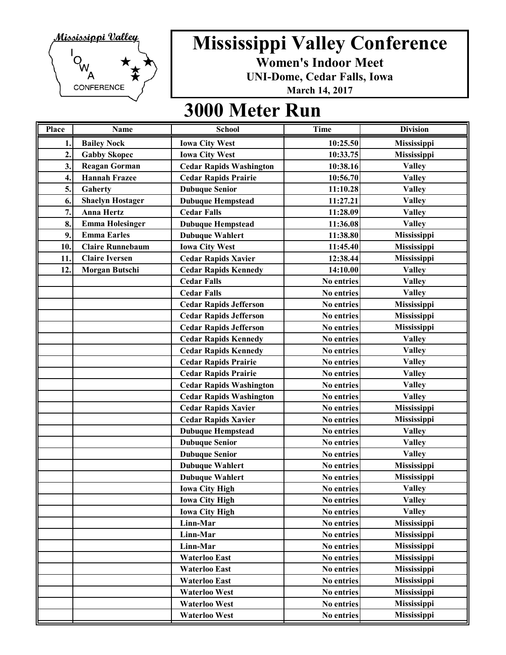

**Women's Indoor Meet**

**UNI-Dome, Cedar Falls, Iowa**

**March 14, 2017**

| Place            | Name                    | <b>School</b>                  | <b>Time</b> | <b>Division</b>    |
|------------------|-------------------------|--------------------------------|-------------|--------------------|
| 1.               | <b>Bailey Nock</b>      | <b>Iowa City West</b>          | 10:25.50    | <b>Mississippi</b> |
| $\overline{2}$ . | <b>Gabby Skopec</b>     | <b>Iowa City West</b>          | 10:33.75    | Mississippi        |
| 3.               | <b>Reagan Gorman</b>    | <b>Cedar Rapids Washington</b> | 10:38.16    | <b>Valley</b>      |
| 4.               | <b>Hannah Frazee</b>    | <b>Cedar Rapids Prairie</b>    | 10:56.70    | <b>Valley</b>      |
| 5.               | Gaherty                 | <b>Dubuque Senior</b>          | 11:10.28    | <b>Valley</b>      |
| 6.               | <b>Shaelyn Hostager</b> | <b>Dubuque Hempstead</b>       | 11:27.21    | <b>Valley</b>      |
| 7.               | <b>Anna Hertz</b>       | <b>Cedar Falls</b>             | 11:28.09    | <b>Valley</b>      |
| 8.               | <b>Emma Holesinger</b>  | <b>Dubuque Hempstead</b>       | 11:36.08    | <b>Valley</b>      |
| 9.               | <b>Emma Earles</b>      | <b>Dubuque Wahlert</b>         | 11:38.80    | Mississippi        |
| 10.              | <b>Claire Runnebaum</b> | <b>Iowa City West</b>          | 11:45.40    | Mississippi        |
| 11.              | <b>Claire Iversen</b>   | <b>Cedar Rapids Xavier</b>     | 12:38.44    | Mississippi        |
| 12.              | Morgan Butschi          | <b>Cedar Rapids Kennedy</b>    | 14:10.00    | <b>Valley</b>      |
|                  |                         | <b>Cedar Falls</b>             | No entries  | <b>Valley</b>      |
|                  |                         | <b>Cedar Falls</b>             | No entries  | <b>Valley</b>      |
|                  |                         | <b>Cedar Rapids Jefferson</b>  | No entries  | Mississippi        |
|                  |                         | <b>Cedar Rapids Jefferson</b>  | No entries  | Mississippi        |
|                  |                         | <b>Cedar Rapids Jefferson</b>  | No entries  | Mississippi        |
|                  |                         | <b>Cedar Rapids Kennedy</b>    | No entries  | <b>Valley</b>      |
|                  |                         | <b>Cedar Rapids Kennedy</b>    | No entries  | <b>Valley</b>      |
|                  |                         | <b>Cedar Rapids Prairie</b>    | No entries  | <b>Valley</b>      |
|                  |                         | <b>Cedar Rapids Prairie</b>    | No entries  | <b>Valley</b>      |
|                  |                         | <b>Cedar Rapids Washington</b> | No entries  | <b>Valley</b>      |
|                  |                         | <b>Cedar Rapids Washington</b> | No entries  | <b>Valley</b>      |
|                  |                         | <b>Cedar Rapids Xavier</b>     | No entries  | Mississippi        |
|                  |                         | <b>Cedar Rapids Xavier</b>     | No entries  | Mississippi        |
|                  |                         | <b>Dubuque Hempstead</b>       | No entries  | <b>Valley</b>      |
|                  |                         | <b>Dubuque Senior</b>          | No entries  | <b>Valley</b>      |
|                  |                         | <b>Dubuque Senior</b>          | No entries  | <b>Valley</b>      |
|                  |                         | <b>Dubuque Wahlert</b>         | No entries  | Mississippi        |
|                  |                         | <b>Dubuque Wahlert</b>         | No entries  | Mississippi        |
|                  |                         | <b>Iowa City High</b>          | No entries  | <b>Valley</b>      |
|                  |                         | <b>Iowa City High</b>          | No entries  | <b>Valley</b>      |
|                  |                         | <b>Iowa City High</b>          | No entries  | <b>Valley</b>      |
|                  |                         | Linn-Mar                       | No entries  | Mississippi        |
|                  |                         | Linn-Mar                       | No entries  | Mississippi        |
|                  |                         | Linn-Mar                       | No entries  | Mississippi        |
|                  |                         | <b>Waterloo East</b>           | No entries  | Mississippi        |
|                  |                         | <b>Waterloo East</b>           | No entries  | Mississippi        |
|                  |                         | <b>Waterloo East</b>           | No entries  | Mississippi        |
|                  |                         | <b>Waterloo West</b>           | No entries  | Mississippi        |
|                  |                         | <b>Waterloo West</b>           | No entries  | Mississippi        |
|                  |                         | <b>Waterloo West</b>           | No entries  | Mississippi        |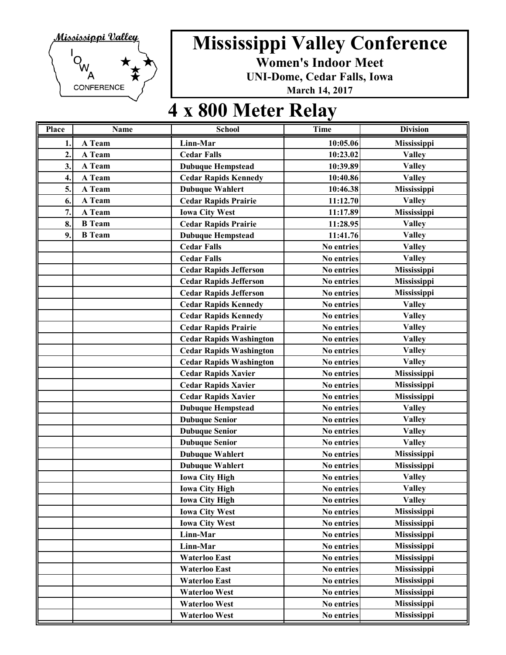

**Women's Indoor Meet**

**UNI-Dome, Cedar Falls, Iowa**

**March 14, 2017**

#### **4 x 800 Meter Relay**

| Place          | <b>Name</b>   | <b>School</b>                  | <b>Time</b> | <b>Division</b>    |
|----------------|---------------|--------------------------------|-------------|--------------------|
| 1.             | A Team        | Linn-Mar                       | 10:05.06    | <b>Mississippi</b> |
| $\overline{2}$ | A Team        | <b>Cedar Falls</b>             | 10:23.02    | <b>Valley</b>      |
| 3.             | A Team        | <b>Dubuque Hempstead</b>       | 10:39.89    | <b>Valley</b>      |
| 4.             | A Team        | <b>Cedar Rapids Kennedy</b>    | 10:40.86    | <b>Valley</b>      |
| 5.             | A Team        | <b>Dubuque Wahlert</b>         | 10:46.38    | Mississippi        |
| 6.             | A Team        | <b>Cedar Rapids Prairie</b>    | 11:12.70    | <b>Valley</b>      |
| 7.             | A Team        | <b>Iowa City West</b>          | 11:17.89    | Mississippi        |
| 8.             | <b>B</b> Team | <b>Cedar Rapids Prairie</b>    | 11:28.95    | <b>Valley</b>      |
| 9.             | <b>B</b> Team | <b>Dubuque Hempstead</b>       | 11:41.76    | <b>Valley</b>      |
|                |               | <b>Cedar Falls</b>             | No entries  | <b>Valley</b>      |
|                |               | <b>Cedar Falls</b>             | No entries  | <b>Valley</b>      |
|                |               | <b>Cedar Rapids Jefferson</b>  | No entries  | Mississippi        |
|                |               | <b>Cedar Rapids Jefferson</b>  | No entries  | Mississippi        |
|                |               | <b>Cedar Rapids Jefferson</b>  | No entries  | Mississippi        |
|                |               | <b>Cedar Rapids Kennedy</b>    | No entries  | <b>Valley</b>      |
|                |               | <b>Cedar Rapids Kennedy</b>    | No entries  | <b>Valley</b>      |
|                |               | <b>Cedar Rapids Prairie</b>    | No entries  | <b>Valley</b>      |
|                |               | <b>Cedar Rapids Washington</b> | No entries  | <b>Valley</b>      |
|                |               | <b>Cedar Rapids Washington</b> | No entries  | <b>Valley</b>      |
|                |               | <b>Cedar Rapids Washington</b> | No entries  | <b>Valley</b>      |
|                |               | <b>Cedar Rapids Xavier</b>     | No entries  | Mississippi        |
|                |               | <b>Cedar Rapids Xavier</b>     | No entries  | Mississippi        |
|                |               | <b>Cedar Rapids Xavier</b>     | No entries  | Mississippi        |
|                |               | <b>Dubuque Hempstead</b>       | No entries  | <b>Valley</b>      |
|                |               | <b>Dubuque Senior</b>          | No entries  | <b>Valley</b>      |
|                |               | <b>Dubuque Senior</b>          | No entries  | <b>Valley</b>      |
|                |               | <b>Dubuque Senior</b>          | No entries  | <b>Valley</b>      |
|                |               | <b>Dubuque Wahlert</b>         | No entries  | Mississippi        |
|                |               | <b>Dubuque Wahlert</b>         | No entries  | Mississippi        |
|                |               | <b>Iowa City High</b>          | No entries  | <b>Valley</b>      |
|                |               | <b>Iowa City High</b>          | No entries  | <b>Valley</b>      |
|                |               | <b>Iowa City High</b>          | No entries  | <b>Valley</b>      |
|                |               | <b>Iowa City West</b>          | No entries  | Mississippi        |
|                |               | <b>Iowa City West</b>          | No entries  | Mississippi        |
|                |               | Linn-Mar                       | No entries  | Mississippi        |
|                |               | Linn-Mar                       | No entries  | Mississippi        |
|                |               | <b>Waterloo East</b>           | No entries  | Mississippi        |
|                |               | <b>Waterloo East</b>           | No entries  | Mississippi        |
|                |               | <b>Waterloo East</b>           | No entries  | Mississippi        |
|                |               | <b>Waterloo West</b>           | No entries  | Mississippi        |
|                |               | <b>Waterloo West</b>           | No entries  | Mississippi        |
|                |               | Waterloo West                  | No entries  | Mississippi        |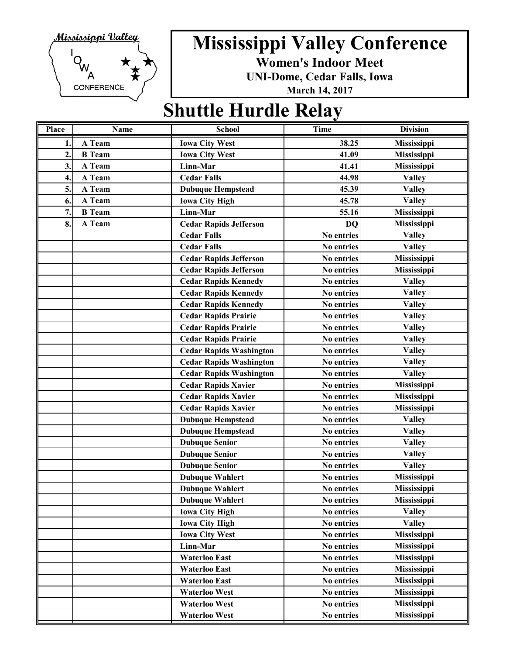

**Women's Indoor Meet**

**UNI-Dome, Cedar Falls, Iowa**

**March 14, 2017**

#### **Shuttle Hurdle Relay**

| Place        | Name          | <b>School</b>                  | <b>Time</b> | <b>Division</b> |
|--------------|---------------|--------------------------------|-------------|-----------------|
| 1.           | A Team        | <b>Iowa City West</b>          | 38.25       | Mississippi     |
| $\mathbf{2}$ | <b>B</b> Team | <b>Iowa City West</b>          | 41.09       | Mississippi     |
| 3.           | A Team        | Linn-Mar                       | 41.41       | Mississippi     |
| 4.           | A Team        | <b>Cedar Falls</b>             | 44.98       | <b>Valley</b>   |
| 5.           | A Team        | <b>Dubuque Hempstead</b>       | 45.39       | <b>Valley</b>   |
| 6.           | A Team        | <b>Iowa City High</b>          | 45.78       | <b>Valley</b>   |
| 7.           | <b>B</b> Team | Linn-Mar                       | 55.16       | Mississippi     |
| 8.           | A Team        | <b>Cedar Rapids Jefferson</b>  | <b>DO</b>   | Mississippi     |
|              |               | <b>Cedar Falls</b>             | No entries  | <b>Valley</b>   |
|              |               | <b>Cedar Falls</b>             | No entries  | <b>Valley</b>   |
|              |               | <b>Cedar Rapids Jefferson</b>  | No entries  | Mississippi     |
|              |               | <b>Cedar Rapids Jefferson</b>  | No entries  | Mississippi     |
|              |               | <b>Cedar Rapids Kennedy</b>    | No entries  | <b>Valley</b>   |
|              |               | <b>Cedar Rapids Kennedy</b>    | No entries  | <b>Valley</b>   |
|              |               | <b>Cedar Rapids Kennedy</b>    | No entries  | <b>Valley</b>   |
|              |               | <b>Cedar Rapids Prairie</b>    | No entries  | <b>Valley</b>   |
|              |               | <b>Cedar Rapids Prairie</b>    | No entries  | <b>Valley</b>   |
|              |               | <b>Cedar Rapids Prairie</b>    | No entries  | <b>Valley</b>   |
|              |               | <b>Cedar Rapids Washington</b> | No entries  | <b>Valley</b>   |
|              |               | <b>Cedar Rapids Washington</b> | No entries  | <b>Valley</b>   |
|              |               | <b>Cedar Rapids Washington</b> | No entries  | <b>Valley</b>   |
|              |               | <b>Cedar Rapids Xavier</b>     | No entries  | Mississippi     |
|              |               | <b>Cedar Rapids Xavier</b>     | No entries  | Mississippi     |
|              |               | <b>Cedar Rapids Xavier</b>     | No entries  | Mississippi     |
|              |               | <b>Dubuque Hempstead</b>       | No entries  | <b>Valley</b>   |
|              |               | <b>Dubuque Hempstead</b>       | No entries  | <b>Valley</b>   |
|              |               | <b>Dubuque Senior</b>          | No entries  | <b>Valley</b>   |
|              |               | <b>Dubuque Senior</b>          | No entries  | <b>Valley</b>   |
|              |               | <b>Dubuque Senior</b>          | No entries  | <b>Valley</b>   |
|              |               | <b>Dubuque Wahlert</b>         | No entries  | Mississippi     |
|              |               | <b>Dubuque Wahlert</b>         | No entries  | Mississippi     |
|              |               | <b>Dubuque Wahlert</b>         | No entries  | Mississippi     |
|              |               | <b>Iowa City High</b>          | No entries  | <b>Valley</b>   |
|              |               | <b>Iowa City High</b>          | No entries  | <b>Valley</b>   |
|              |               | <b>Iowa City West</b>          | No entries  | Mississippi     |
|              |               | Linn-Mar                       | No entries  | Mississippi     |
|              |               | <b>Waterloo East</b>           | No entries  | Mississippi     |
|              |               | <b>Waterloo East</b>           | No entries  | Mississippi     |
|              |               | <b>Waterloo East</b>           | No entries  | Mississippi     |
|              |               | <b>Waterloo West</b>           | No entries  | Mississippi     |
|              |               | <b>Waterloo West</b>           | No entries  | Mississippi     |
|              |               | Waterloo West                  | No entries  | Mississippi     |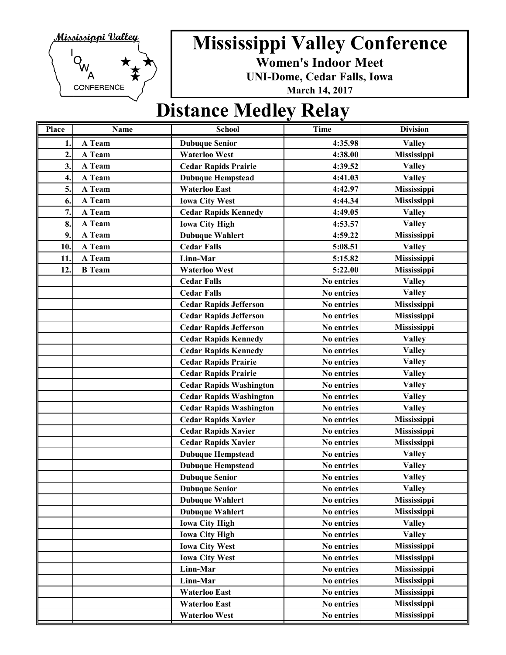

**Women's Indoor Meet**

**UNI-Dome, Cedar Falls, Iowa**

**March 14, 2017**

#### **Distance Medley Relay**

| Place            | Name          | <b>School</b>                  | <b>Time</b>       | <b>Division</b>    |
|------------------|---------------|--------------------------------|-------------------|--------------------|
| 1.               | A Team        | <b>Dubuque Senior</b>          | 4:35.98           | <b>Valley</b>      |
| $\overline{2}$ . | A Team        | <b>Waterloo West</b>           | 4:38.00           | Mississippi        |
| 3.               | A Team        | <b>Cedar Rapids Prairie</b>    | 4:39.52           | <b>Valley</b>      |
| 4.               | A Team        | <b>Dubuque Hempstead</b>       | 4:41.03           | <b>Valley</b>      |
| 5.               | A Team        | <b>Waterloo East</b>           | 4:42.97           | Mississippi        |
| 6.               | A Team        | <b>Iowa City West</b>          | 4:44.34           | Mississippi        |
| 7.               | A Team        | <b>Cedar Rapids Kennedy</b>    | 4:49.05           | <b>Valley</b>      |
| 8.               | A Team        | <b>Iowa City High</b>          | 4:53.57           | <b>Valley</b>      |
| 9.               | A Team        | <b>Dubuque Wahlert</b>         | 4:59.22           | Mississippi        |
| 10.              | A Team        | <b>Cedar Falls</b>             | 5:08.51           | <b>Valley</b>      |
| 11.              | A Team        | Linn-Mar                       | 5:15.82           | Mississippi        |
| 12.              | <b>B</b> Team | <b>Waterloo West</b>           | 5:22.00           | Mississippi        |
|                  |               | <b>Cedar Falls</b>             | No entries        | <b>Valley</b>      |
|                  |               | <b>Cedar Falls</b>             | No entries        | <b>Valley</b>      |
|                  |               | <b>Cedar Rapids Jefferson</b>  | No entries        | Mississippi        |
|                  |               | <b>Cedar Rapids Jefferson</b>  | <b>No entries</b> | Mississippi        |
|                  |               | <b>Cedar Rapids Jefferson</b>  | No entries        | Mississippi        |
|                  |               | <b>Cedar Rapids Kennedy</b>    | No entries        | <b>Valley</b>      |
|                  |               | <b>Cedar Rapids Kennedy</b>    | No entries        | <b>Valley</b>      |
|                  |               | <b>Cedar Rapids Prairie</b>    | No entries        | <b>Valley</b>      |
|                  |               | <b>Cedar Rapids Prairie</b>    | No entries        | <b>Valley</b>      |
|                  |               | <b>Cedar Rapids Washington</b> | No entries        | <b>Valley</b>      |
|                  |               | <b>Cedar Rapids Washington</b> | No entries        | <b>Valley</b>      |
|                  |               | <b>Cedar Rapids Washington</b> | No entries        | <b>Valley</b>      |
|                  |               | <b>Cedar Rapids Xavier</b>     | No entries        | Mississippi        |
|                  |               | <b>Cedar Rapids Xavier</b>     | No entries        | Mississippi        |
|                  |               | <b>Cedar Rapids Xavier</b>     | No entries        | Mississippi        |
|                  |               | <b>Dubuque Hempstead</b>       | No entries        | <b>Valley</b>      |
|                  |               | <b>Dubuque Hempstead</b>       | No entries        | <b>Valley</b>      |
|                  |               | <b>Dubuque Senior</b>          | No entries        | <b>Valley</b>      |
|                  |               | <b>Dubuque Senior</b>          | No entries        | <b>Valley</b>      |
|                  |               | <b>Dubuque Wahlert</b>         | No entries        | Mississippi        |
|                  |               | <b>Dubuque Wahlert</b>         | No entries        | Mississippi        |
|                  |               | <b>Iowa City High</b>          | No entries        | <b>Valley</b>      |
|                  |               | <b>Iowa City High</b>          | No entries        | <b>Valley</b>      |
|                  |               | <b>Iowa City West</b>          | No entries        | <b>Mississippi</b> |
|                  |               | <b>Iowa City West</b>          | No entries        | Mississippi        |
|                  |               | Linn-Mar                       | No entries        | Mississippi        |
|                  |               | Linn-Mar                       | No entries        | Mississippi        |
|                  |               | <b>Waterloo East</b>           | No entries        | Mississippi        |
|                  |               | <b>Waterloo East</b>           | No entries        | Mississippi        |
|                  |               | <b>Waterloo West</b>           | No entries        | Mississippi        |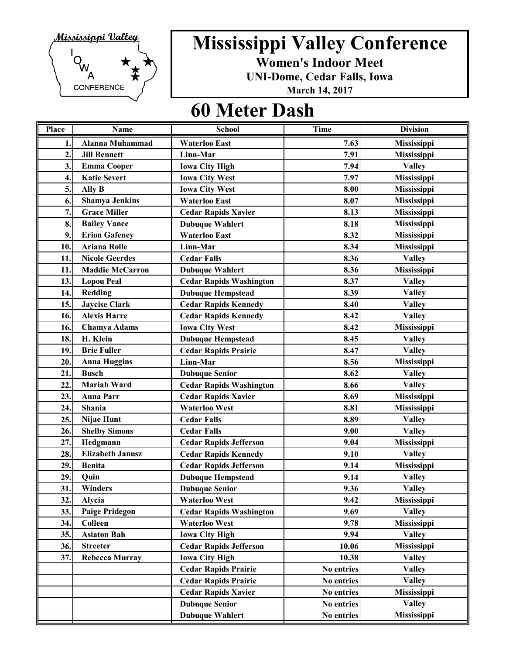

**Women's Indoor Meet**

**UNI-Dome, Cedar Falls, Iowa**

**March 14, 2017**

#### **60 Meter Dash**

| Place            | Name                    | <b>School</b>                  | <b>Time</b> | <b>Division</b>    |
|------------------|-------------------------|--------------------------------|-------------|--------------------|
| 1.               | <b>Alanna Muhammad</b>  | <b>Waterloo East</b>           | 7.63        | Mississippi        |
| $\overline{2}$ . | <b>Jill Bennett</b>     | Linn-Mar                       | 7.91        | <b>Mississippi</b> |
| 3.               | <b>Emma Cooper</b>      | <b>Iowa City High</b>          | 7.94        | <b>Valley</b>      |
| 4.               | <b>Katie Severt</b>     | <b>Iowa City West</b>          | 7.97        | Mississippi        |
| 5.               | Ally B                  | <b>Iowa City West</b>          | 8.00        | Mississippi        |
| 6.               | <b>Shamya Jenkins</b>   | <b>Waterloo East</b>           | 8.07        | Mississippi        |
| 7.               | <b>Grace Miller</b>     | <b>Cedar Rapids Xavier</b>     | 8.13        | Mississippi        |
| 8.               | <b>Bailey Vance</b>     | <b>Dubuque Wahlert</b>         | 8.18        | Mississippi        |
| 9.               | <b>Erion Gafeney</b>    | <b>Waterloo East</b>           | 8.32        | Mississippi        |
| 10.              | <b>Ariana Rolle</b>     | Linn-Mar                       | 8.34        | <b>Mississippi</b> |
| 11.              | <b>Nicole Geerdes</b>   | <b>Cedar Falls</b>             | 8.36        | <b>Valley</b>      |
| 11.              | <b>Maddie McCarron</b>  | <b>Dubuque Wahlert</b>         | 8.36        | Mississippi        |
| 13.              | <b>Lopou Peal</b>       | <b>Cedar Rapids Washington</b> | 8.37        | <b>Valley</b>      |
| 14.              | Redding                 | <b>Dubuque Hempstead</b>       | 8.39        | <b>Valley</b>      |
| 15.              | <b>Jaycise Clark</b>    | <b>Cedar Rapids Kennedy</b>    | 8.40        | <b>Valley</b>      |
| 16.              | <b>Alexis Harre</b>     | <b>Cedar Rapids Kennedy</b>    | 8.42        | <b>Valley</b>      |
| 16.              | <b>Chamya Adams</b>     | <b>Iowa City West</b>          | 8.42        | Mississippi        |
| 18.              | H. Klein                | <b>Dubuque Hempstead</b>       | 8.45        | <b>Valley</b>      |
| 19.              | <b>Brie Fuller</b>      | <b>Cedar Rapids Prairie</b>    | 8.47        | <b>Valley</b>      |
| 20.              | <b>Anna Huggins</b>     | Linn-Mar                       | 8.56        | <b>Mississippi</b> |
| 21.              | <b>Busch</b>            | <b>Dubuque Senior</b>          | 8.62        | <b>Valley</b>      |
| 22.              | <b>Mariah Ward</b>      | <b>Cedar Rapids Washington</b> | 8.66        | <b>Valley</b>      |
| 23.              | <b>Anna Parr</b>        | <b>Cedar Rapids Xavier</b>     | 8.69        | Mississippi        |
| 24.              | Shania                  | <b>Waterloo West</b>           | 8.81        | Mississippi        |
| 25.              | Nijae Hunt              | <b>Cedar Falls</b>             | 8.89        | <b>Valley</b>      |
| 26.              | <b>Shelby Simons</b>    | <b>Cedar Falls</b>             | 9.00        | <b>Valley</b>      |
| 27.              | Hedgmann                | <b>Cedar Rapids Jefferson</b>  | 9.04        | Mississippi        |
| 28.              | <b>Elizabeth Janusz</b> | <b>Cedar Rapids Kennedy</b>    | 9.10        | <b>Valley</b>      |
| 29.              | <b>Benita</b>           | <b>Cedar Rapids Jefferson</b>  | 9.14        | Mississippi        |
| 29               | Quin                    | <b>Dubuque Hempstead</b>       | 9.14        | <b>Valley</b>      |
| 31.              | Winders                 | <b>Dubuque Senior</b>          | 9.36        | <b>Valley</b>      |
| 32.              | Alycia                  | <b>Waterloo West</b>           | 9.42        | Mississippi        |
| 33.              | <b>Paige Pridegon</b>   | <b>Cedar Rapids Washington</b> | 9.69        | <b>Valley</b>      |
| 34.              | Colleen                 | <b>Waterloo West</b>           | 9.78        | Mississippi        |
| 35.              | <b>Asiaton Bah</b>      | <b>Iowa City High</b>          | 9.94        | <b>Valley</b>      |
| 36.              | <b>Streeter</b>         | <b>Cedar Rapids Jefferson</b>  | 10.06       | Mississippi        |
| 37.              | <b>Rebecca Murray</b>   | <b>Iowa City High</b>          | 10.38       | <b>Valley</b>      |
|                  |                         | <b>Cedar Rapids Prairie</b>    | No entries  | <b>Valley</b>      |
|                  |                         | <b>Cedar Rapids Prairie</b>    | No entries  | <b>Valley</b>      |
|                  |                         | <b>Cedar Rapids Xavier</b>     | No entries  | Mississippi        |
|                  |                         | <b>Dubuque Senior</b>          | No entries  | <b>Valley</b>      |
|                  |                         | <b>Dubuque Wahlert</b>         | No entries  | Mississippi        |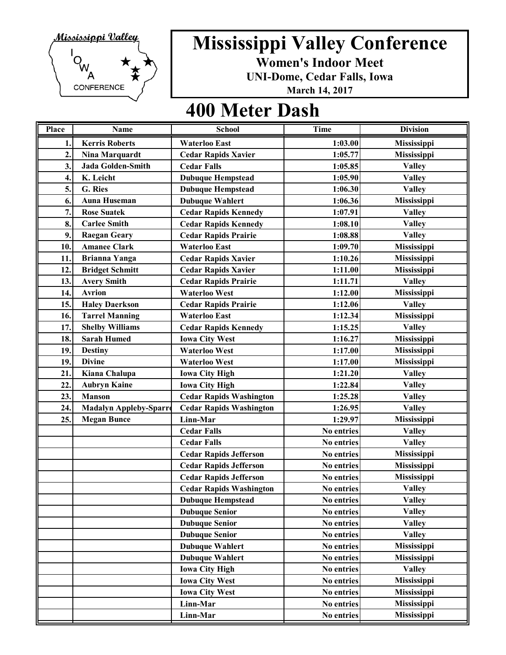

**Women's Indoor Meet**

**UNI-Dome, Cedar Falls, Iowa**

**March 14, 2017**

#### **400 Meter Dash**

| Place            | Name                          | <b>School</b>                  | <b>Time</b> | <b>Division</b> |
|------------------|-------------------------------|--------------------------------|-------------|-----------------|
| 1.               | <b>Kerris Roberts</b>         | <b>Waterloo East</b>           | 1:03.00     | Mississippi     |
| $\overline{2}$ . | Nina Marquardt                | <b>Cedar Rapids Xavier</b>     | 1:05.77     | Mississippi     |
| 3.               | Jada Golden-Smith             | <b>Cedar Falls</b>             | 1:05.85     | <b>Valley</b>   |
| 4.               | K. Leicht                     | <b>Dubuque Hempstead</b>       | 1:05.90     | <b>Valley</b>   |
| 5.               | G. Ries                       | <b>Dubuque Hempstead</b>       | 1:06.30     | <b>Valley</b>   |
| 6.               | <b>Auna Huseman</b>           | <b>Dubuque Wahlert</b>         | 1:06.36     | Mississippi     |
| 7.               | <b>Rose Suatek</b>            | <b>Cedar Rapids Kennedy</b>    | 1:07.91     | <b>Valley</b>   |
| 8.               | <b>Carlee Smith</b>           | <b>Cedar Rapids Kennedy</b>    | 1:08.10     | <b>Valley</b>   |
| 9.               | <b>Raegan Geary</b>           | <b>Cedar Rapids Prairie</b>    | 1:08.88     | <b>Valley</b>   |
| 10.              | <b>Amanee Clark</b>           | <b>Waterloo East</b>           | 1:09.70     | Mississippi     |
| 11.              | <b>Brianna Yanga</b>          | <b>Cedar Rapids Xavier</b>     | 1:10.26     | Mississippi     |
| 12.              | <b>Bridget Schmitt</b>        | <b>Cedar Rapids Xavier</b>     | 1:11.00     | Mississippi     |
| 13.              | <b>Avery Smith</b>            | <b>Cedar Rapids Prairie</b>    | 1:11.71     | <b>Valley</b>   |
| 14.              | <b>Avrion</b>                 | <b>Waterloo West</b>           | 1:12.00     | Mississippi     |
| 15.              | <b>Haley Daerkson</b>         | <b>Cedar Rapids Prairie</b>    | 1:12.06     | <b>Valley</b>   |
| 16.              | <b>Tarrel Manning</b>         | <b>Waterloo East</b>           | 1:12.34     | Mississippi     |
| 17.              | <b>Shelby Williams</b>        | <b>Cedar Rapids Kennedy</b>    | 1:15.25     | <b>Valley</b>   |
| 18.              | <b>Sarah Humed</b>            | <b>Iowa City West</b>          | 1:16.27     | Mississippi     |
| 19.              | <b>Destiny</b>                | <b>Waterloo West</b>           | 1:17.00     | Mississippi     |
| 19.              | <b>Divine</b>                 | <b>Waterloo West</b>           | 1:17.00     | Mississippi     |
| 21.              | Kiana Chalupa                 | <b>Iowa City High</b>          | 1:21.20     | <b>Valley</b>   |
| 22.              | <b>Aubryn Kaine</b>           | <b>Iowa City High</b>          | 1:22.84     | <b>Valley</b>   |
| 23.              | <b>Manson</b>                 | <b>Cedar Rapids Washington</b> | 1:25.28     | <b>Valley</b>   |
| 24.              | <b>Madalyn Appleby-Sparro</b> | <b>Cedar Rapids Washington</b> | 1:26.95     | <b>Valley</b>   |
| 25.              | <b>Megan Bunce</b>            | Linn-Mar                       | 1:29.97     | Mississippi     |
|                  |                               | <b>Cedar Falls</b>             | No entries  | <b>Valley</b>   |
|                  |                               | <b>Cedar Falls</b>             | No entries  | <b>Valley</b>   |
|                  |                               | <b>Cedar Rapids Jefferson</b>  | No entries  | Mississippi     |
|                  |                               | <b>Cedar Rapids Jefferson</b>  | No entries  | Mississippi     |
|                  |                               | <b>Cedar Rapids Jefferson</b>  | No entries  | Mississippi     |
|                  |                               | <b>Cedar Rapids Washington</b> | No entries  | <b>Valley</b>   |
|                  |                               | <b>Dubuque Hempstead</b>       | No entries  | <b>Valley</b>   |
|                  |                               | <b>Dubuque Senior</b>          | No entries  | <b>Valley</b>   |
|                  |                               | <b>Dubuque Senior</b>          | No entries  | <b>Valley</b>   |
|                  |                               | <b>Dubuque Senior</b>          | No entries  | <b>Valley</b>   |
|                  |                               | <b>Dubuque Wahlert</b>         | No entries  | Mississippi     |
|                  |                               | <b>Dubuque Wahlert</b>         | No entries  | Mississippi     |
|                  |                               | <b>Iowa City High</b>          | No entries  | <b>Valley</b>   |
|                  |                               | <b>Iowa City West</b>          | No entries  | Mississippi     |
|                  |                               | <b>Iowa City West</b>          | No entries  | Mississippi     |
|                  |                               | Linn-Mar                       | No entries  | Mississippi     |
|                  |                               | Linn-Mar                       | No entries  | Mississippi     |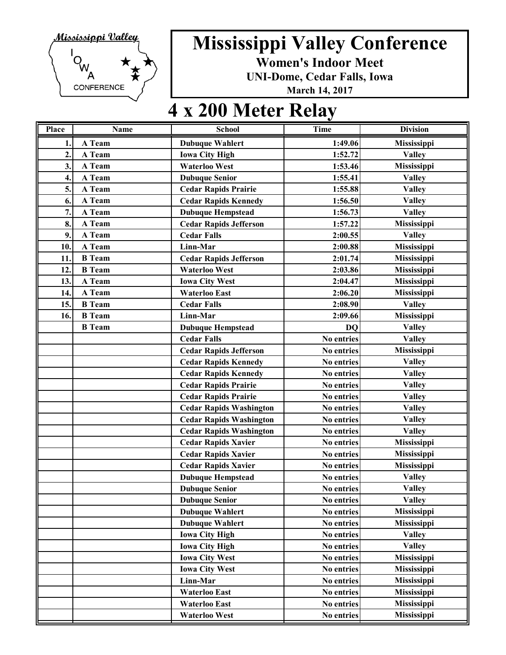

**Women's Indoor Meet**

**UNI-Dome, Cedar Falls, Iowa**

**March 14, 2017**

### **4 x 200 Meter Relay**

| Place | Name          | <b>School</b>                  | <b>Time</b> | <b>Division</b>    |
|-------|---------------|--------------------------------|-------------|--------------------|
| 1.    | A Team        | <b>Dubuque Wahlert</b>         | 1:49.06     | Mississippi        |
| 2.    | A Team        | <b>Iowa City High</b>          | 1:52.72     | <b>Valley</b>      |
| 3.    | A Team        | <b>Waterloo West</b>           | 1:53.46     | Mississippi        |
| 4.    | A Team        | <b>Dubuque Senior</b>          | 1:55.41     | <b>Valley</b>      |
| 5.    | A Team        | <b>Cedar Rapids Prairie</b>    | 1:55.88     | <b>Valley</b>      |
| 6.    | A Team        | <b>Cedar Rapids Kennedy</b>    | 1:56.50     | <b>Valley</b>      |
| 7.    | A Team        | <b>Dubuque Hempstead</b>       | 1:56.73     | <b>Valley</b>      |
| 8.    | A Team        | <b>Cedar Rapids Jefferson</b>  | 1:57.22     | Mississippi        |
| 9.    | A Team        | <b>Cedar Falls</b>             | 2:00.55     | <b>Valley</b>      |
| 10.   | A Team        | Linn-Mar                       | 2:00.88     | Mississippi        |
| 11.   | <b>B</b> Team | <b>Cedar Rapids Jefferson</b>  | 2:01.74     | Mississippi        |
| 12.   | <b>B</b> Team | <b>Waterloo West</b>           | 2:03.86     | Mississippi        |
| 13.   | A Team        | <b>Iowa City West</b>          | 2:04.47     | Mississippi        |
| 14.   | A Team        | <b>Waterloo East</b>           | 2:06.20     | Mississippi        |
| 15.   | <b>B</b> Team | <b>Cedar Falls</b>             | 2:08.90     | <b>Valley</b>      |
| 16.   | <b>B</b> Team | Linn-Mar                       | 2:09.66     | Mississippi        |
|       | <b>B</b> Team | <b>Dubuque Hempstead</b>       | <b>DQ</b>   | <b>Valley</b>      |
|       |               | <b>Cedar Falls</b>             | No entries  | <b>Valley</b>      |
|       |               | <b>Cedar Rapids Jefferson</b>  | No entries  | Mississippi        |
|       |               | <b>Cedar Rapids Kennedy</b>    | No entries  | <b>Valley</b>      |
|       |               | <b>Cedar Rapids Kennedy</b>    | No entries  | <b>Valley</b>      |
|       |               | <b>Cedar Rapids Prairie</b>    | No entries  | <b>Valley</b>      |
|       |               | <b>Cedar Rapids Prairie</b>    | No entries  | <b>Valley</b>      |
|       |               | <b>Cedar Rapids Washington</b> | No entries  | <b>Valley</b>      |
|       |               | <b>Cedar Rapids Washington</b> | No entries  | <b>Valley</b>      |
|       |               | <b>Cedar Rapids Washington</b> | No entries  | <b>Valley</b>      |
|       |               | <b>Cedar Rapids Xavier</b>     | No entries  | Mississippi        |
|       |               | <b>Cedar Rapids Xavier</b>     | No entries  | Mississippi        |
|       |               | <b>Cedar Rapids Xavier</b>     | No entries  | <b>Mississippi</b> |
|       |               | <b>Dubuque Hempstead</b>       | No entries  | <b>Valley</b>      |
|       |               | <b>Dubuque Senior</b>          | No entries  | <b>Valley</b>      |
|       |               | <b>Dubuque Senior</b>          | No entries  | <b>Valley</b>      |
|       |               | <b>Dubuque Wahlert</b>         | No entries  | Mississippi        |
|       |               | <b>Dubuque Wahlert</b>         | No entries  | Mississippi        |
|       |               | <b>Iowa City High</b>          | No entries  | <b>Valley</b>      |
|       |               | <b>Iowa City High</b>          | No entries  | <b>Valley</b>      |
|       |               | <b>Iowa City West</b>          | No entries  | Mississippi        |
|       |               | <b>Iowa City West</b>          | No entries  | Mississippi        |
|       |               | Linn-Mar                       | No entries  | Mississippi        |
|       |               | <b>Waterloo East</b>           | No entries  | Mississippi        |
|       |               | <b>Waterloo East</b>           | No entries  | Mississippi        |
|       |               | <b>Waterloo West</b>           | No entries  | Mississippi        |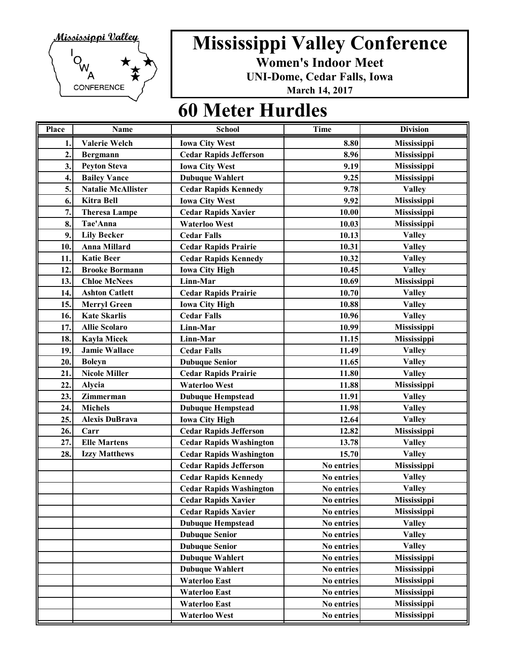

**Women's Indoor Meet**

**UNI-Dome, Cedar Falls, Iowa**

**March 14, 2017**

#### **60 Meter Hurdles**

| Place            | <b>Name</b>               | <b>School</b>                  | <b>Time</b> | <b>Division</b>    |
|------------------|---------------------------|--------------------------------|-------------|--------------------|
| 1.               | <b>Valerie Welch</b>      | <b>Iowa City West</b>          | 8.80        | <b>Mississippi</b> |
| $\overline{2}$ . | Bergmann                  | <b>Cedar Rapids Jefferson</b>  | 8.96        | Mississippi        |
| 3.               | <b>Peyton Steva</b>       | <b>Iowa City West</b>          | 9.19        | Mississippi        |
| 4.               | <b>Bailey Vance</b>       | <b>Dubuque Wahlert</b>         | 9.25        | Mississippi        |
| 5.               | <b>Natalie McAllister</b> | <b>Cedar Rapids Kennedy</b>    | 9.78        | <b>Valley</b>      |
| 6.               | <b>Kitra Bell</b>         | <b>Iowa City West</b>          | 9.92        | Mississippi        |
| 7.               | <b>Theresa Lampe</b>      | <b>Cedar Rapids Xavier</b>     | 10.00       | Mississippi        |
| 8.               | Tae'Anna                  | <b>Waterloo West</b>           | 10.03       | Mississippi        |
| 9.               | <b>Lily Becker</b>        | <b>Cedar Falls</b>             | 10.13       | <b>Valley</b>      |
| 10.              | <b>Anna Millard</b>       | <b>Cedar Rapids Prairie</b>    | 10.31       | <b>Valley</b>      |
| 11.              | <b>Katie Beer</b>         | <b>Cedar Rapids Kennedy</b>    | 10.32       | <b>Valley</b>      |
| 12.              | <b>Brooke Bormann</b>     | <b>Iowa City High</b>          | 10.45       | <b>Valley</b>      |
| 13.              | <b>Chloe McNees</b>       | Linn-Mar                       | 10.69       | Mississippi        |
| 14.              | <b>Ashton Catlett</b>     | <b>Cedar Rapids Prairie</b>    | 10.70       | <b>Valley</b>      |
| 15.              | <b>Merryl Green</b>       | <b>Iowa City High</b>          | 10.88       | <b>Valley</b>      |
| 16.              | <b>Kate Skarlis</b>       | <b>Cedar Falls</b>             | 10.96       | <b>Valley</b>      |
| 17.              | <b>Allie Scolaro</b>      | Linn-Mar                       | 10.99       | Mississippi        |
| 18.              | <b>Kayla Micek</b>        | Linn-Mar                       | 11.15       | Mississippi        |
| 19.              | <b>Jamie Wallace</b>      | <b>Cedar Falls</b>             | 11.49       | <b>Valley</b>      |
| 20.              | <b>Boleyn</b>             | <b>Dubuque Senior</b>          | 11.65       | <b>Valley</b>      |
| 21.              | <b>Nicole Miller</b>      | <b>Cedar Rapids Prairie</b>    | 11.80       | <b>Valley</b>      |
| 22.              | Alycia                    | <b>Waterloo West</b>           | 11.88       | Mississippi        |
| 23.              | Zimmerman                 | <b>Dubuque Hempstead</b>       | 11.91       | <b>Valley</b>      |
| 24.              | <b>Michels</b>            | <b>Dubuque Hempstead</b>       | 11.98       | <b>Valley</b>      |
| 25.              | <b>Alexis DuBrava</b>     | <b>Iowa City High</b>          | 12.64       | <b>Valley</b>      |
| 26.              | Carr                      | <b>Cedar Rapids Jefferson</b>  | 12.82       | Mississippi        |
| 27.              | <b>Elle Martens</b>       | <b>Cedar Rapids Washington</b> | 13.78       | <b>Valley</b>      |
| 28.              | <b>Izzy Matthews</b>      | <b>Cedar Rapids Washington</b> | 15.70       | <b>Valley</b>      |
|                  |                           | <b>Cedar Rapids Jefferson</b>  | No entries  | Mississippi        |
|                  |                           | <b>Cedar Rapids Kennedy</b>    | No entries  | <b>Valley</b>      |
|                  |                           | <b>Cedar Rapids Washington</b> | No entries  | <b>Valley</b>      |
|                  |                           | <b>Cedar Rapids Xavier</b>     | No entries  | Mississippi        |
|                  |                           | <b>Cedar Rapids Xavier</b>     | No entries  | Mississippi        |
|                  |                           | <b>Dubuque Hempstead</b>       | No entries  | <b>Valley</b>      |
|                  |                           | <b>Dubuque Senior</b>          | No entries  | <b>Valley</b>      |
|                  |                           | <b>Dubuque Senior</b>          | No entries  | <b>Valley</b>      |
|                  |                           | <b>Dubuque Wahlert</b>         | No entries  | Mississippi        |
|                  |                           | <b>Dubuque Wahlert</b>         | No entries  | Mississippi        |
|                  |                           | <b>Waterloo East</b>           | No entries  | Mississippi        |
|                  |                           | <b>Waterloo East</b>           | No entries  | Mississippi        |
|                  |                           | <b>Waterloo East</b>           | No entries  | Mississippi        |
|                  |                           | Waterloo West                  | No entries  | <b>Mississippi</b> |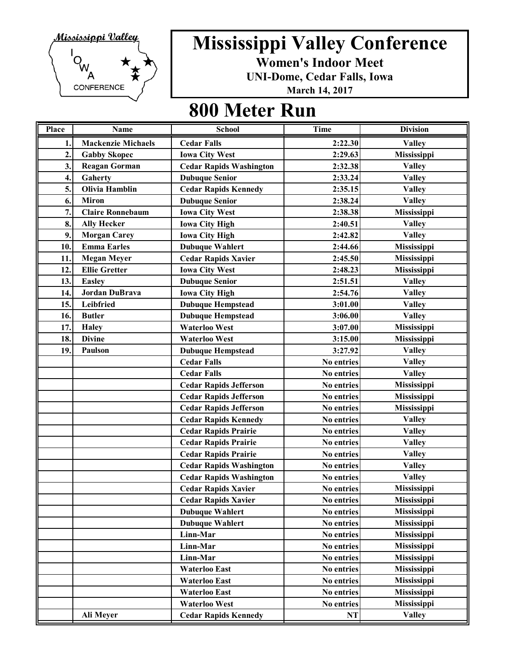

**Women's Indoor Meet**

**UNI-Dome, Cedar Falls, Iowa**

**March 14, 2017**

| <b>Place</b>     | <b>Name</b>               | <b>School</b>                  | <b>Time</b> | <b>Division</b>    |
|------------------|---------------------------|--------------------------------|-------------|--------------------|
| 1.               | <b>Mackenzie Michaels</b> | <b>Cedar Falls</b>             | 2:22.30     | <b>Valley</b>      |
| $\overline{2}$ . | <b>Gabby Skopec</b>       | <b>Iowa City West</b>          | 2:29.63     | Mississippi        |
| 3.               | <b>Reagan Gorman</b>      | <b>Cedar Rapids Washington</b> | 2:32.38     | <b>Valley</b>      |
| 4.               | Gaherty                   | <b>Dubuque Senior</b>          | 2:33.24     | <b>Valley</b>      |
| 5.               | Olivia Hamblin            | <b>Cedar Rapids Kennedy</b>    | 2:35.15     | <b>Valley</b>      |
| 6.               | <b>Miron</b>              | <b>Dubuque Senior</b>          | 2:38.24     | <b>Valley</b>      |
| 7.               | <b>Claire Ronnebaum</b>   | <b>Iowa City West</b>          | 2:38.38     | Mississippi        |
| 8.               | <b>Ally Hecker</b>        | <b>Iowa City High</b>          | 2:40.51     | <b>Valley</b>      |
| 9.               | <b>Morgan Carey</b>       | <b>Iowa City High</b>          | 2:42.82     | <b>Valley</b>      |
| 10.              | <b>Emma Earles</b>        | <b>Dubuque Wahlert</b>         | 2:44.66     | Mississippi        |
| 11.              | <b>Megan Meyer</b>        | <b>Cedar Rapids Xavier</b>     | 2:45.50     | Mississippi        |
| 12.              | <b>Ellie Gretter</b>      | <b>Iowa City West</b>          | 2:48.23     | Mississippi        |
| 13.              | <b>Easley</b>             | <b>Dubuque Senior</b>          | 2:51.51     | <b>Valley</b>      |
| 14.              | Jordan DuBrava            | <b>Iowa City High</b>          | 2:54.76     | <b>Valley</b>      |
| 15.              | Leibfried                 | <b>Dubuque Hempstead</b>       | 3:01.00     | <b>Valley</b>      |
| 16.              | <b>Butler</b>             | <b>Dubuque Hempstead</b>       | 3:06.00     | <b>Valley</b>      |
| 17.              | <b>Haley</b>              | <b>Waterloo West</b>           | 3:07.00     | Mississippi        |
| 18.              | <b>Divine</b>             | <b>Waterloo West</b>           | 3:15.00     | Mississippi        |
| 19.              | Paulson                   | <b>Dubuque Hempstead</b>       | 3:27.92     | <b>Valley</b>      |
|                  |                           | <b>Cedar Falls</b>             | No entries  | <b>Valley</b>      |
|                  |                           | <b>Cedar Falls</b>             | No entries  | <b>Valley</b>      |
|                  |                           | <b>Cedar Rapids Jefferson</b>  | No entries  | Mississippi        |
|                  |                           | <b>Cedar Rapids Jefferson</b>  | No entries  | <b>Mississippi</b> |
|                  |                           | <b>Cedar Rapids Jefferson</b>  | No entries  | Mississippi        |
|                  |                           | <b>Cedar Rapids Kennedy</b>    | No entries  | <b>Valley</b>      |
|                  |                           | <b>Cedar Rapids Prairie</b>    | No entries  | <b>Valley</b>      |
|                  |                           | <b>Cedar Rapids Prairie</b>    | No entries  | <b>Valley</b>      |
|                  |                           | <b>Cedar Rapids Prairie</b>    | No entries  | <b>Valley</b>      |
|                  |                           | <b>Cedar Rapids Washington</b> | No entries  | <b>Valley</b>      |
|                  |                           | <b>Cedar Rapids Washington</b> | No entries  | <b>Valley</b>      |
|                  |                           | <b>Cedar Rapids Xavier</b>     | No entries  | Mississippi        |
|                  |                           | <b>Cedar Rapids Xavier</b>     | No entries  | Mississippi        |
|                  |                           | <b>Dubuque Wahlert</b>         | No entries  | Mississippi        |
|                  |                           | <b>Dubuque Wahlert</b>         | No entries  | Mississippi        |
|                  |                           | Linn-Mar                       | No entries  | Mississippi        |
|                  |                           | Linn-Mar                       | No entries  | Mississippi        |
|                  |                           | Linn-Mar                       | No entries  | Mississippi        |
|                  |                           | <b>Waterloo East</b>           | No entries  | Mississippi        |
|                  |                           | <b>Waterloo East</b>           | No entries  | Mississippi        |
|                  |                           | <b>Waterloo East</b>           | No entries  | Mississippi        |
|                  |                           | <b>Waterloo West</b>           | No entries  | Mississippi        |
|                  | Ali Meyer                 | <b>Cedar Rapids Kennedy</b>    | NT          | <b>Valley</b>      |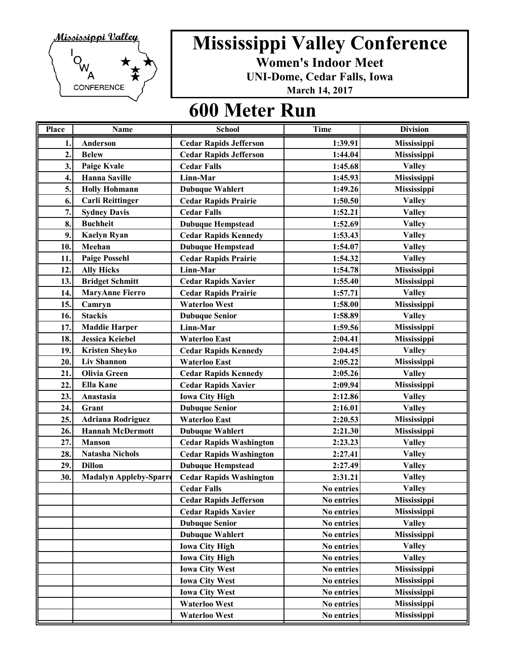

**Women's Indoor Meet**

**UNI-Dome, Cedar Falls, Iowa**

**March 14, 2017**

| Place            | <b>Name</b>                   | <b>School</b>                  | <b>Time</b> | <b>Division</b>    |
|------------------|-------------------------------|--------------------------------|-------------|--------------------|
| 1.               | Anderson                      | <b>Cedar Rapids Jefferson</b>  | 1:39.91     | Mississippi        |
| $\overline{2}$ . | <b>Belew</b>                  | <b>Cedar Rapids Jefferson</b>  | 1:44.04     | Mississippi        |
| 3.               | Paige Kvale                   | <b>Cedar Falls</b>             | 1:45.68     | <b>Valley</b>      |
| 4.               | <b>Hanna Saville</b>          | Linn-Mar                       | 1:45.93     | <b>Mississippi</b> |
| 5.               | <b>Holly Hohmann</b>          | <b>Dubuque Wahlert</b>         | 1:49.26     | <b>Mississippi</b> |
| 6.               | <b>Carli Reittinger</b>       | <b>Cedar Rapids Prairie</b>    | 1:50.50     | <b>Valley</b>      |
| 7.               | <b>Sydney Davis</b>           | <b>Cedar Falls</b>             | 1:52.21     | <b>Valley</b>      |
| 8.               | <b>Buchheit</b>               | <b>Dubuque Hempstead</b>       | 1:52.69     | <b>Valley</b>      |
| 9.               | <b>Kaelyn Ryan</b>            | <b>Cedar Rapids Kennedy</b>    | 1:53.43     | <b>Valley</b>      |
| 10.              | Meehan                        | <b>Dubuque Hempstead</b>       | 1:54.07     | <b>Valley</b>      |
| 11               | <b>Paige Possehl</b>          | <b>Cedar Rapids Prairie</b>    | 1:54.32     | <b>Valley</b>      |
| 12.              | <b>Ally Hicks</b>             | Linn-Mar                       | 1:54.78     | Mississippi        |
| 13.              | <b>Bridget Schmitt</b>        | <b>Cedar Rapids Xavier</b>     | 1:55.40     | Mississippi        |
| 14               | <b>MaryAnne Fierro</b>        | <b>Cedar Rapids Prairie</b>    | 1:57.71     | <b>Valley</b>      |
| 15.              | Camryn                        | <b>Waterloo West</b>           | 1:58.00     | Mississippi        |
| 16.              | <b>Stackis</b>                | <b>Dubuque Senior</b>          | 1:58.89     | <b>Valley</b>      |
| 17.              | <b>Maddie Harper</b>          | Linn-Mar                       | 1:59.56     | Mississippi        |
| 18.              | <b>Jessica Keiebel</b>        | <b>Waterloo East</b>           | 2:04.41     | Mississippi        |
| 19.              | <b>Kristen Sheyko</b>         | <b>Cedar Rapids Kennedy</b>    | 2:04.45     | <b>Valley</b>      |
| 20.              | <b>Liv Shannon</b>            | <b>Waterloo East</b>           | 2:05.22     | Mississippi        |
| 21.              | <b>Olivia Green</b>           | <b>Cedar Rapids Kennedy</b>    | 2:05.26     | <b>Valley</b>      |
| 22.              | <b>Ella Kane</b>              | <b>Cedar Rapids Xavier</b>     | 2:09.94     | Mississippi        |
| 23.              | Anastasia                     | <b>Iowa City High</b>          | 2:12.86     | <b>Valley</b>      |
| 24.              | Grant                         | <b>Dubuque Senior</b>          | 2:16.01     | <b>Valley</b>      |
| 25.              | <b>Adriana Rodriguez</b>      | <b>Waterloo East</b>           | 2:20.53     | Mississippi        |
| 26.              | <b>Hannah McDermott</b>       | <b>Dubuque Wahlert</b>         | 2:21.30     | Mississippi        |
| 27.              | <b>Manson</b>                 | <b>Cedar Rapids Washington</b> | 2:23.23     | <b>Valley</b>      |
| 28.              | <b>Natasha Nichols</b>        | <b>Cedar Rapids Washington</b> | 2:27.41     | <b>Valley</b>      |
| 29.              | <b>Dillon</b>                 | <b>Dubuque Hempstead</b>       | 2:27.49     | <b>Valley</b>      |
| 30.              | <b>Madalyn Appleby-Sparro</b> | <b>Cedar Rapids Washington</b> | 2:31.21     | <b>Valley</b>      |
|                  |                               | <b>Cedar Falls</b>             | No entries  | <b>Valley</b>      |
|                  |                               | <b>Cedar Rapids Jefferson</b>  | No entries  | Mississippi        |
|                  |                               | <b>Cedar Rapids Xavier</b>     | No entries  | <b>Mississippi</b> |
|                  |                               | <b>Dubuque Senior</b>          | No entries  | <b>Valley</b>      |
|                  |                               | <b>Dubuque Wahlert</b>         | No entries  | Mississippi        |
|                  |                               | <b>Iowa City High</b>          | No entries  | <b>Valley</b>      |
|                  |                               | <b>Iowa City High</b>          | No entries  | <b>Valley</b>      |
|                  |                               | <b>Iowa City West</b>          | No entries  | Mississippi        |
|                  |                               | <b>Iowa City West</b>          | No entries  | Mississippi        |
|                  |                               | <b>Iowa City West</b>          | No entries  | Mississippi        |
|                  |                               | <b>Waterloo West</b>           | No entries  | <b>Mississippi</b> |
|                  |                               | <b>Waterloo West</b>           | No entries  | Mississippi        |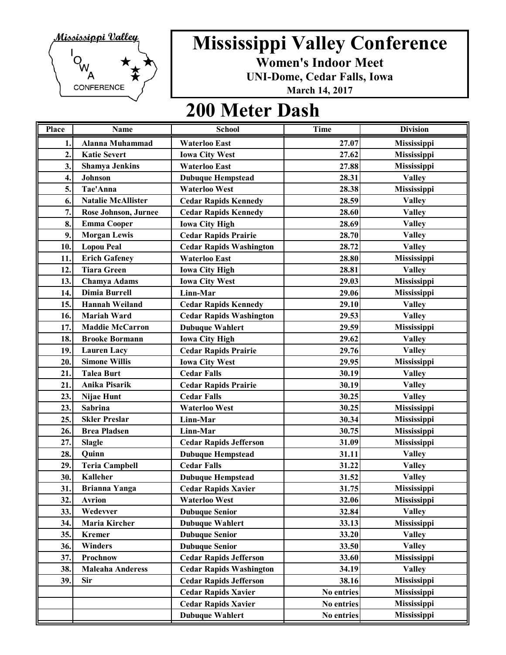

**Women's Indoor Meet**

**UNI-Dome, Cedar Falls, Iowa**

**March 14, 2017**

#### **200 Meter Dash**

| Place          | <b>Name</b>                 | <b>School</b>                  | <b>Time</b> | <b>Division</b>    |
|----------------|-----------------------------|--------------------------------|-------------|--------------------|
| 1.             | <b>Alanna Muhammad</b>      | <b>Waterloo East</b>           | 27.07       | Mississippi        |
| $\overline{2}$ | <b>Katie Severt</b>         | <b>Iowa City West</b>          | 27.62       | Mississippi        |
| 3.             | <b>Shamya Jenkins</b>       | <b>Waterloo East</b>           | 27.88       | Mississippi        |
| 4.             | <b>Johnson</b>              | <b>Dubuque Hempstead</b>       | 28.31       | <b>Valley</b>      |
| 5.             | Tae'Anna                    | <b>Waterloo West</b>           | 28.38       | Mississippi        |
| 6.             | <b>Natalie McAllister</b>   | <b>Cedar Rapids Kennedy</b>    | 28.59       | <b>Valley</b>      |
| 7.             | <b>Rose Johnson, Jurnee</b> | <b>Cedar Rapids Kennedy</b>    | 28.60       | <b>Valley</b>      |
| 8.             | <b>Emma Cooper</b>          | <b>Iowa City High</b>          | 28.69       | <b>Valley</b>      |
| 9.             | <b>Morgan Lewis</b>         | <b>Cedar Rapids Prairie</b>    | 28.70       | <b>Valley</b>      |
| 10.            | <b>Lopou Peal</b>           | <b>Cedar Rapids Washington</b> | 28.72       | <b>Valley</b>      |
| 11.            | <b>Erich Gafeney</b>        | <b>Waterloo East</b>           | 28.80       | <b>Mississippi</b> |
| 12.            | <b>Tiara Green</b>          | <b>Iowa City High</b>          | 28.81       | <b>Valley</b>      |
| 13.            | <b>Chamya Adams</b>         | <b>Iowa City West</b>          | 29.03       | Mississippi        |
| 14.            | <b>Dimia Burrell</b>        | Linn-Mar                       | 29.06       | Mississippi        |
| 15.            | <b>Hannah Weiland</b>       | <b>Cedar Rapids Kennedy</b>    | 29.10       | <b>Valley</b>      |
| 16.            | <b>Mariah Ward</b>          | <b>Cedar Rapids Washington</b> | 29.53       | <b>Valley</b>      |
| 17.            | <b>Maddie McCarron</b>      | <b>Dubuque Wahlert</b>         | 29.59       | <b>Mississippi</b> |
| 18.            | <b>Brooke Bormann</b>       | <b>Iowa City High</b>          | 29.62       | <b>Valley</b>      |
| 19.            | <b>Lauren Lacy</b>          | <b>Cedar Rapids Prairie</b>    | 29.76       | <b>Valley</b>      |
| 20.            | <b>Simone Willis</b>        | <b>Iowa City West</b>          | 29.95       | Mississippi        |
| 21.            | <b>Talea Burt</b>           | <b>Cedar Falls</b>             | 30.19       | <b>Valley</b>      |
| 21.            | Anika Pisarik               | <b>Cedar Rapids Prairie</b>    | 30.19       | <b>Valley</b>      |
| 23.            | Nijae Hunt                  | <b>Cedar Falls</b>             | 30.25       | <b>Valley</b>      |
| 23.            | Sabrina                     | <b>Waterloo West</b>           | 30.25       | <b>Mississippi</b> |
| 25.            | <b>Skler Preslar</b>        | Linn-Mar                       | 30.34       | Mississippi        |
| 26.            | <b>Brea Pladsen</b>         | Linn-Mar                       | 30.75       | Mississippi        |
| 27.            | <b>Slagle</b>               | <b>Cedar Rapids Jefferson</b>  | 31.09       | Mississippi        |
| 28.            | Quinn                       | <b>Dubuque Hempstead</b>       | 31.11       | <b>Valley</b>      |
| 29.            | <b>Teria Campbell</b>       | <b>Cedar Falls</b>             | 31.22       | <b>Valley</b>      |
| 30.            | <b>Kalleher</b>             | <b>Dubuque Hempstead</b>       | 31.52       | <b>Valley</b>      |
| 31.            | <b>Brianna Yanga</b>        | <b>Cedar Rapids Xavier</b>     | 31.75       | Mississippi        |
| 32.            | <b>Avrion</b>               | <b>Waterloo West</b>           | 32.06       | Mississippi        |
| 33.            | Wedevver                    | <b>Dubuque Senior</b>          | 32.84       | <b>Valley</b>      |
| 34.            | Maria Kircher               | <b>Dubuque Wahlert</b>         | 33.13       | Mississippi        |
| 35.            | <b>Kremer</b>               | <b>Dubuque Senior</b>          | 33.20       | <b>Valley</b>      |
| 36.            | Winders                     | <b>Dubuque Senior</b>          | 33.50       | <b>Valley</b>      |
| 37.            | Prochnow                    | <b>Cedar Rapids Jefferson</b>  | 33.60       | Mississippi        |
| 38.            | <b>Maleaha Anderess</b>     | <b>Cedar Rapids Washington</b> | 34.19       | <b>Valley</b>      |
| 39.            | Sir                         | <b>Cedar Rapids Jefferson</b>  | 38.16       | Mississippi        |
|                |                             | <b>Cedar Rapids Xavier</b>     | No entries  | Mississippi        |
|                |                             | <b>Cedar Rapids Xavier</b>     | No entries  | Mississippi        |
|                |                             | <b>Dubuque Wahlert</b>         | No entries  | <b>Mississippi</b> |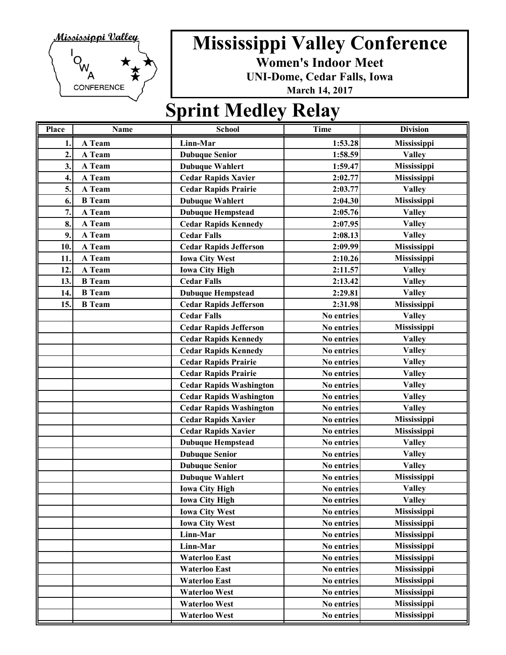

**Women's Indoor Meet**

**UNI-Dome, Cedar Falls, Iowa**

**March 14, 2017**

### **Sprint Medley Relay**

| Place          | <b>Name</b>   | <b>School</b>                  | <b>Time</b> | <b>Division</b>    |
|----------------|---------------|--------------------------------|-------------|--------------------|
| 1.             | A Team        | Linn-Mar                       | 1:53.28     | Mississippi        |
| $\overline{2}$ | A Team        | <b>Dubuque Senior</b>          | 1:58.59     | <b>Valley</b>      |
| 3.             | A Team        | <b>Dubuque Wahlert</b>         | 1:59.47     | Mississippi        |
| 4.             | A Team        | <b>Cedar Rapids Xavier</b>     | 2:02.77     | Mississippi        |
| 5.             | A Team        | <b>Cedar Rapids Prairie</b>    | 2:03.77     | <b>Valley</b>      |
| 6.             | <b>B</b> Team | <b>Dubuque Wahlert</b>         | 2:04.30     | Mississippi        |
| 7.             | A Team        | <b>Dubuque Hempstead</b>       | 2:05.76     | <b>Valley</b>      |
| 8.             | A Team        | <b>Cedar Rapids Kennedy</b>    | 2:07.95     | <b>Valley</b>      |
| 9.             | A Team        | <b>Cedar Falls</b>             | 2:08.13     | <b>Valley</b>      |
| 10.            | A Team        | <b>Cedar Rapids Jefferson</b>  | 2:09.99     | Mississippi        |
| 11.            | A Team        | <b>Iowa City West</b>          | 2:10.26     | Mississippi        |
| 12.            | A Team        | <b>Iowa City High</b>          | 2:11.57     | <b>Valley</b>      |
| 13.            | <b>B</b> Team | <b>Cedar Falls</b>             | 2:13.42     | <b>Valley</b>      |
| 14.            | <b>B</b> Team | <b>Dubuque Hempstead</b>       | 2:29.81     | <b>Valley</b>      |
| 15.            | <b>B</b> Team | <b>Cedar Rapids Jefferson</b>  | 2:31.98     | Mississippi        |
|                |               | <b>Cedar Falls</b>             | No entries  | <b>Valley</b>      |
|                |               | <b>Cedar Rapids Jefferson</b>  | No entries  | Mississippi        |
|                |               | <b>Cedar Rapids Kennedy</b>    | No entries  | <b>Valley</b>      |
|                |               | <b>Cedar Rapids Kennedy</b>    | No entries  | <b>Valley</b>      |
|                |               | <b>Cedar Rapids Prairie</b>    | No entries  | <b>Valley</b>      |
|                |               | <b>Cedar Rapids Prairie</b>    | No entries  | <b>Valley</b>      |
|                |               | <b>Cedar Rapids Washington</b> | No entries  | <b>Valley</b>      |
|                |               | <b>Cedar Rapids Washington</b> | No entries  | <b>Valley</b>      |
|                |               | <b>Cedar Rapids Washington</b> | No entries  | <b>Valley</b>      |
|                |               | <b>Cedar Rapids Xavier</b>     | No entries  | Mississippi        |
|                |               | <b>Cedar Rapids Xavier</b>     | No entries  | Mississippi        |
|                |               | <b>Dubuque Hempstead</b>       | No entries  | <b>Valley</b>      |
|                |               | <b>Dubuque Senior</b>          | No entries  | <b>Valley</b>      |
|                |               | <b>Dubuque Senior</b>          | No entries  | <b>Valley</b>      |
|                |               | <b>Dubuque Wahlert</b>         | No entries  | Mississippi        |
|                |               | <b>Iowa City High</b>          | No entries  | <b>Valley</b>      |
|                |               | <b>Iowa City High</b>          | No entries  | <b>Valley</b>      |
|                |               | <b>Iowa City West</b>          | No entries  | Mississippi        |
|                |               | <b>Iowa City West</b>          | No entries  | Mississippi        |
|                |               | Linn-Mar                       | No entries  | Mississippi        |
|                |               | Linn-Mar                       | No entries  | <b>Mississippi</b> |
|                |               | <b>Waterloo East</b>           | No entries  | Mississippi        |
|                |               | <b>Waterloo East</b>           | No entries  | <b>Mississippi</b> |
|                |               | <b>Waterloo East</b>           | No entries  | <b>Mississippi</b> |
|                |               | <b>Waterloo West</b>           | No entries  | Mississippi        |
|                |               | <b>Waterloo West</b>           | No entries  | Mississippi        |
|                |               | <b>Waterloo West</b>           | No entries  | <b>Mississippi</b> |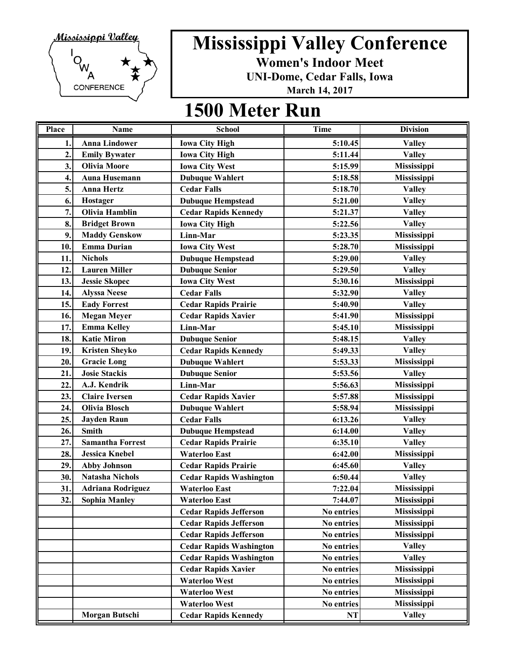

**Women's Indoor Meet**

**UNI-Dome, Cedar Falls, Iowa**

**March 14, 2017**

| Place          | <b>Name</b>              | <b>School</b>                  | <b>Time</b> | <b>Division</b>    |
|----------------|--------------------------|--------------------------------|-------------|--------------------|
| 1.             | <b>Anna Lindower</b>     | <b>Iowa City High</b>          | 5:10.45     | <b>Valley</b>      |
| $\overline{2}$ | <b>Emily Bywater</b>     | <b>Iowa City High</b>          | 5:11.44     | <b>Valley</b>      |
| 3.             | <b>Olivia Moore</b>      | <b>Iowa City West</b>          | 5:15.99     | Mississippi        |
| 4.             | <b>Auna Husemann</b>     | <b>Dubuque Wahlert</b>         | 5:18.58     | Mississippi        |
| 5.             | <b>Anna Hertz</b>        | <b>Cedar Falls</b>             | 5:18.70     | <b>Valley</b>      |
| 6.             | Hostager                 | <b>Dubuque Hempstead</b>       | 5:21.00     | <b>Valley</b>      |
| 7.             | <b>Olivia Hamblin</b>    | <b>Cedar Rapids Kennedy</b>    | 5:21.37     | <b>Valley</b>      |
| 8.             | <b>Bridget Brown</b>     | <b>Iowa City High</b>          | 5:22.56     | <b>Valley</b>      |
| 9.             | <b>Maddy Genskow</b>     | Linn-Mar                       | 5:23.35     | Mississippi        |
| 10.            | <b>Emma Durian</b>       | <b>Iowa City West</b>          | 5:28.70     | <b>Mississippi</b> |
| 11.            | <b>Nichols</b>           | <b>Dubuque Hempstead</b>       | 5:29.00     | <b>Valley</b>      |
| 12.            | <b>Lauren Miller</b>     | <b>Dubuque Senior</b>          | 5:29.50     | <b>Valley</b>      |
| 13.            | <b>Jessie Skopec</b>     | <b>Iowa City West</b>          | 5:30.16     | Mississippi        |
| 14.            | <b>Alyssa Neese</b>      | <b>Cedar Falls</b>             | 5:32.90     | <b>Valley</b>      |
| 15.            | <b>Eady Forrest</b>      | <b>Cedar Rapids Prairie</b>    | 5:40.90     | <b>Valley</b>      |
| 16.            | <b>Megan Meyer</b>       | <b>Cedar Rapids Xavier</b>     | 5:41.90     | Mississippi        |
| 17.            | <b>Emma Kelley</b>       | Linn-Mar                       | 5:45.10     | Mississippi        |
| 18.            | <b>Katie Miron</b>       | <b>Dubuque Senior</b>          | 5:48.15     | <b>Valley</b>      |
| 19.            | <b>Kristen Sheyko</b>    | <b>Cedar Rapids Kennedy</b>    | 5:49.33     | <b>Valley</b>      |
| 20.            | <b>Gracie Long</b>       | <b>Dubuque Wahlert</b>         | 5:53.33     | <b>Mississippi</b> |
| 21.            | <b>Josie Stackis</b>     | <b>Dubuque Senior</b>          | 5:53.56     | <b>Valley</b>      |
| 22             | A.J. Kendrik             | Linn-Mar                       | 5:56.63     | Mississippi        |
| 23.            | <b>Claire Iversen</b>    | <b>Cedar Rapids Xavier</b>     | 5:57.88     | Mississippi        |
| 24.            | <b>Olivia Blosch</b>     | <b>Dubuque Wahlert</b>         | 5:58.94     | Mississippi        |
| 25.            | <b>Jayden Raun</b>       | <b>Cedar Falls</b>             | 6:13.26     | <b>Valley</b>      |
| 26.            | <b>Smith</b>             | <b>Dubuque Hempstead</b>       | 6:14.00     | <b>Valley</b>      |
| 27.            | <b>Samantha Forrest</b>  | <b>Cedar Rapids Prairie</b>    | 6:35.10     | <b>Valley</b>      |
| 28.            | <b>Jessica Knebel</b>    | <b>Waterloo East</b>           | 6:42.00     | Mississippi        |
| 29.            | <b>Abby Johnson</b>      | <b>Cedar Rapids Prairie</b>    | 6:45.60     | <b>Valley</b>      |
| 30.            | <b>Natasha Nichols</b>   | <b>Cedar Rapids Washington</b> | 6:50.44     | <b>Valley</b>      |
| 31.            | <b>Adriana Rodriguez</b> | <b>Waterloo East</b>           | 7:22.04     | Mississippi        |
| 32.            | <b>Sophia Manley</b>     | <b>Waterloo East</b>           | 7:44.07     | Mississippi        |
|                |                          | <b>Cedar Rapids Jefferson</b>  | No entries  | Mississippi        |
|                |                          | <b>Cedar Rapids Jefferson</b>  | No entries  | Mississippi        |
|                |                          | <b>Cedar Rapids Jefferson</b>  | No entries  | Mississippi        |
|                |                          | <b>Cedar Rapids Washington</b> | No entries  | <b>Valley</b>      |
|                |                          | <b>Cedar Rapids Washington</b> | No entries  | <b>Valley</b>      |
|                |                          | <b>Cedar Rapids Xavier</b>     | No entries  | Mississippi        |
|                |                          | <b>Waterloo West</b>           | No entries  | Mississippi        |
|                |                          | <b>Waterloo West</b>           | No entries  | Mississippi        |
|                |                          | <b>Waterloo West</b>           | No entries  | Mississippi        |
|                | Morgan Butschi           | <b>Cedar Rapids Kennedy</b>    | NT          | <b>Valley</b>      |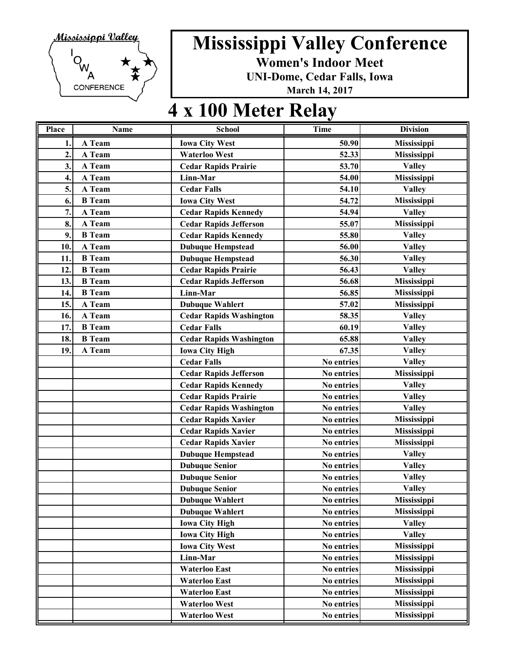

**Women's Indoor Meet**

**UNI-Dome, Cedar Falls, Iowa**

**March 14, 2017**

### **4 x 100 Meter Relay**

| <b>Place</b> | Name          | <b>School</b>                  | <b>Time</b> | <b>Division</b> |
|--------------|---------------|--------------------------------|-------------|-----------------|
| 1.           | A Team        | <b>Iowa City West</b>          | 50.90       | Mississippi     |
| 2.           | A Team        | <b>Waterloo West</b>           | 52.33       | Mississippi     |
| 3.           | A Team        | <b>Cedar Rapids Prairie</b>    | 53.70       | <b>Valley</b>   |
| 4.           | A Team        | Linn-Mar                       | 54.00       | Mississippi     |
| 5.           | A Team        | <b>Cedar Falls</b>             | 54.10       | <b>Valley</b>   |
| 6.           | <b>B</b> Team | <b>Iowa City West</b>          | 54.72       | Mississippi     |
| 7.           | A Team        | <b>Cedar Rapids Kennedy</b>    | 54.94       | <b>Valley</b>   |
| 8.           | A Team        | <b>Cedar Rapids Jefferson</b>  | 55.07       | Mississippi     |
| 9.           | <b>B</b> Team | <b>Cedar Rapids Kennedy</b>    | 55.80       | <b>Valley</b>   |
| 10.          | A Team        | <b>Dubuque Hempstead</b>       | 56.00       | <b>Valley</b>   |
| 11           | <b>B</b> Team | <b>Dubuque Hempstead</b>       | 56.30       | <b>Valley</b>   |
| 12.          | <b>B</b> Team | <b>Cedar Rapids Prairie</b>    | 56.43       | <b>Valley</b>   |
| 13.          | <b>B</b> Team | <b>Cedar Rapids Jefferson</b>  | 56.68       | Mississippi     |
| 14           | <b>B</b> Team | Linn-Mar                       | 56.85       | Mississippi     |
| 15.          | A Team        | <b>Dubuque Wahlert</b>         | 57.02       | Mississippi     |
| 16.          | A Team        | <b>Cedar Rapids Washington</b> | 58.35       | <b>Valley</b>   |
| 17.          | <b>B</b> Team | <b>Cedar Falls</b>             | 60.19       | <b>Valley</b>   |
| 18.          | <b>B</b> Team | <b>Cedar Rapids Washington</b> | 65.88       | <b>Valley</b>   |
| 19.          | A Team        | <b>Iowa City High</b>          | 67.35       | <b>Valley</b>   |
|              |               | <b>Cedar Falls</b>             | No entries  | <b>Valley</b>   |
|              |               | <b>Cedar Rapids Jefferson</b>  | No entries  | Mississippi     |
|              |               | <b>Cedar Rapids Kennedy</b>    | No entries  | <b>Valley</b>   |
|              |               | <b>Cedar Rapids Prairie</b>    | No entries  | <b>Valley</b>   |
|              |               | <b>Cedar Rapids Washington</b> | No entries  | <b>Valley</b>   |
|              |               | <b>Cedar Rapids Xavier</b>     | No entries  | Mississippi     |
|              |               | <b>Cedar Rapids Xavier</b>     | No entries  | Mississippi     |
|              |               | <b>Cedar Rapids Xavier</b>     | No entries  | Mississippi     |
|              |               | <b>Dubuque Hempstead</b>       | No entries  | <b>Valley</b>   |
|              |               | <b>Dubuque Senior</b>          | No entries  | <b>Valley</b>   |
|              |               | <b>Dubuque Senior</b>          | No entries  | <b>Valley</b>   |
|              |               | <b>Dubuque Senior</b>          | No entries  | <b>Valley</b>   |
|              |               | <b>Dubuque Wahlert</b>         | No entries  | Mississippi     |
|              |               | <b>Dubuque Wahlert</b>         | No entries  | Mississippi     |
|              |               | <b>Iowa City High</b>          | No entries  | <b>Valley</b>   |
|              |               | <b>Iowa City High</b>          | No entries  | <b>Valley</b>   |
|              |               | <b>Iowa City West</b>          | No entries  | Mississippi     |
|              |               | Linn-Mar                       | No entries  | Mississippi     |
|              |               | <b>Waterloo East</b>           | No entries  | Mississippi     |
|              |               | <b>Waterloo East</b>           | No entries  | Mississippi     |
|              |               | <b>Waterloo East</b>           | No entries  | Mississippi     |
|              |               | <b>Waterloo West</b>           | No entries  | Mississippi     |
|              |               | <b>Waterloo West</b>           | No entries  | Mississippi     |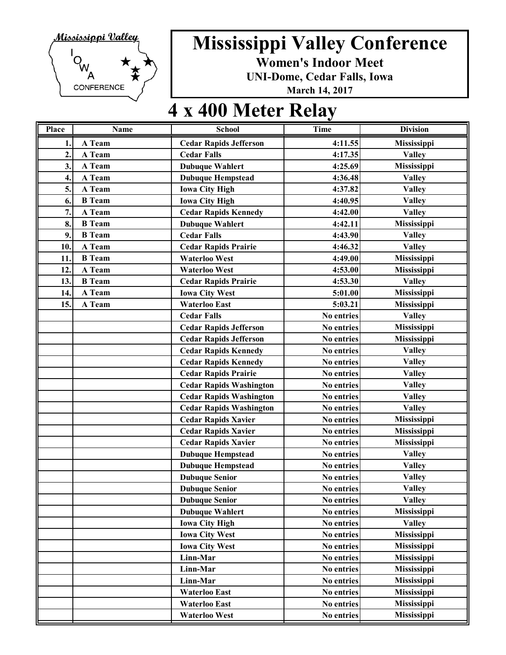

**Women's Indoor Meet**

**UNI-Dome, Cedar Falls, Iowa**

**March 14, 2017**

## **4 x 400 Meter Relay**

| Place        | Name          | <b>School</b>                  | Time       | <b>Division</b>    |
|--------------|---------------|--------------------------------|------------|--------------------|
| 1.           | A Team        | <b>Cedar Rapids Jefferson</b>  | 4:11.55    | <b>Mississippi</b> |
| $\mathbf{2}$ | A Team        | <b>Cedar Falls</b>             | 4:17.35    | <b>Valley</b>      |
| 3.           | A Team        | <b>Dubuque Wahlert</b>         | 4:25.69    | Mississippi        |
| 4.           | A Team        | <b>Dubuque Hempstead</b>       | 4:36.48    | <b>Valley</b>      |
| 5.           | A Team        | <b>Iowa City High</b>          | 4:37.82    | <b>Valley</b>      |
| 6.           | <b>B</b> Team | <b>Iowa City High</b>          | 4:40.95    | <b>Valley</b>      |
| 7.           | A Team        | <b>Cedar Rapids Kennedy</b>    | 4:42.00    | <b>Valley</b>      |
| 8.           | <b>B</b> Team | <b>Dubuque Wahlert</b>         | 4:42.11    | Mississippi        |
| 9.           | <b>B</b> Team | <b>Cedar Falls</b>             | 4:43.90    | <b>Valley</b>      |
| 10.          | A Team        | <b>Cedar Rapids Prairie</b>    | 4:46.32    | <b>Valley</b>      |
| 11.          | <b>B</b> Team | <b>Waterloo West</b>           | 4:49.00    | Mississippi        |
| 12.          | A Team        | <b>Waterloo West</b>           | 4:53.00    | Mississippi        |
| 13.          | <b>B</b> Team | <b>Cedar Rapids Prairie</b>    | 4:53.30    | <b>Valley</b>      |
| 14.          | A Team        | <b>Iowa City West</b>          | 5:01.00    | Mississippi        |
| 15.          | A Team        | <b>Waterloo East</b>           | 5:03.21    | Mississippi        |
|              |               | <b>Cedar Falls</b>             | No entries | <b>Valley</b>      |
|              |               | <b>Cedar Rapids Jefferson</b>  | No entries | Mississippi        |
|              |               | <b>Cedar Rapids Jefferson</b>  | No entries | Mississippi        |
|              |               | <b>Cedar Rapids Kennedy</b>    | No entries | <b>Valley</b>      |
|              |               | <b>Cedar Rapids Kennedy</b>    | No entries | <b>Valley</b>      |
|              |               | <b>Cedar Rapids Prairie</b>    | No entries | <b>Valley</b>      |
|              |               | <b>Cedar Rapids Washington</b> | No entries | <b>Valley</b>      |
|              |               | <b>Cedar Rapids Washington</b> | No entries | <b>Valley</b>      |
|              |               | <b>Cedar Rapids Washington</b> | No entries | <b>Valley</b>      |
|              |               | <b>Cedar Rapids Xavier</b>     | No entries | Mississippi        |
|              |               | <b>Cedar Rapids Xavier</b>     | No entries | Mississippi        |
|              |               | <b>Cedar Rapids Xavier</b>     | No entries | Mississippi        |
|              |               | <b>Dubuque Hempstead</b>       | No entries | <b>Valley</b>      |
|              |               | <b>Dubuque Hempstead</b>       | No entries | <b>Valley</b>      |
|              |               | <b>Dubuque Senior</b>          | No entries | <b>Valley</b>      |
|              |               | <b>Dubuque Senior</b>          | No entries | <b>Valley</b>      |
|              |               | <b>Dubuque Senior</b>          | No entries | <b>Valley</b>      |
|              |               | <b>Dubuque Wahlert</b>         | No entries | Mississippi        |
|              |               | <b>Iowa City High</b>          | No entries | <b>Valley</b>      |
|              |               | <b>Iowa City West</b>          | No entries | Mississippi        |
|              |               | <b>Iowa City West</b>          | No entries | Mississippi        |
|              |               | Linn-Mar                       | No entries | Mississippi        |
|              |               | Linn-Mar                       | No entries | Mississippi        |
|              |               | Linn-Mar                       | No entries | Mississippi        |
|              |               | <b>Waterloo East</b>           | No entries | Mississippi        |
|              |               | <b>Waterloo East</b>           | No entries | Mississippi        |
|              |               | <b>Waterloo West</b>           | No entries | Mississippi        |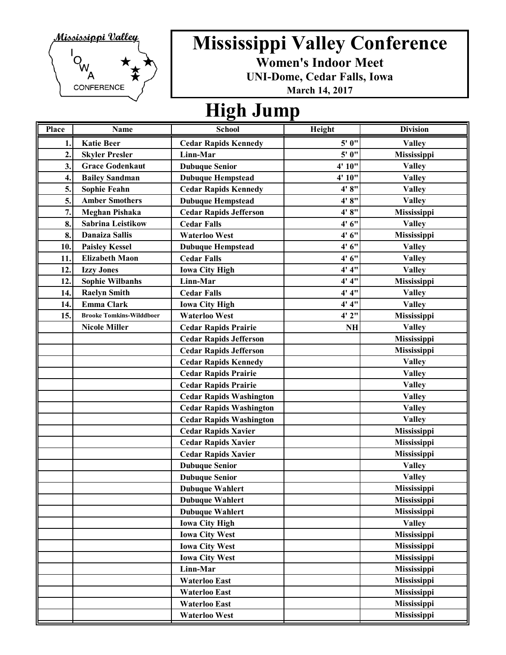

**Women's Indoor Meet**

**UNI-Dome, Cedar Falls, Iowa**

**March 14, 2017**

### **High Jump**

| Place          | Name                            | <b>School</b>                  | Height | <b>Division</b>    |
|----------------|---------------------------------|--------------------------------|--------|--------------------|
| 1.             | <b>Katie Beer</b>               | <b>Cedar Rapids Kennedy</b>    | 5' 0"  | <b>Valley</b>      |
| $\overline{2}$ | <b>Skyler Presler</b>           | Linn-Mar                       | 5' 0"  | Mississippi        |
| 3.             | <b>Grace Godenkaut</b>          | <b>Dubuque Senior</b>          | 4' 10" | <b>Valley</b>      |
| 4.             | <b>Bailey Sandman</b>           | <b>Dubuque Hempstead</b>       | 4' 10" | <b>Valley</b>      |
| 5.             | <b>Sophie Feahn</b>             | <b>Cedar Rapids Kennedy</b>    | 4' 8'' | <b>Valley</b>      |
| 5.             | <b>Amber Smothers</b>           | <b>Dubuque Hempstead</b>       | 4' 8"  | <b>Valley</b>      |
| 7.             | <b>Meghan Pishaka</b>           | <b>Cedar Rapids Jefferson</b>  | 4' 8"  | Mississippi        |
| 8.             | <b>Sabrina Leistikow</b>        | <b>Cedar Falls</b>             | 4'6''  | <b>Valley</b>      |
| 8.             | <b>Danaiza Sallis</b>           | <b>Waterloo West</b>           | 4'6''  | Mississippi        |
| 10.            | <b>Paisley Kessel</b>           | <b>Dubuque Hempstead</b>       | 4'6''  | <b>Valley</b>      |
| 11.            | <b>Elizabeth Maon</b>           | <b>Cedar Falls</b>             | 4'6''  | <b>Valley</b>      |
| 12.            | <b>Izzy Jones</b>               | <b>Iowa City High</b>          | 4' 4'' | <b>Valley</b>      |
| 12.            | <b>Sophie Wilbanhs</b>          | Linn-Mar                       | 4' 4'' | <b>Mississippi</b> |
| 14.            | <b>Raelyn Smith</b>             | <b>Cedar Falls</b>             | 4' 4'' | <b>Valley</b>      |
| 14.            | <b>Emma Clark</b>               | <b>Iowa City High</b>          | 4' 4'' | <b>Valley</b>      |
| 15.            | <b>Brooke Tomkins-Wilddboer</b> | <b>Waterloo West</b>           | 4'2''  | Mississippi        |
|                | <b>Nicole Miller</b>            | <b>Cedar Rapids Prairie</b>    | NH     | <b>Valley</b>      |
|                |                                 | <b>Cedar Rapids Jefferson</b>  |        | Mississippi        |
|                |                                 | <b>Cedar Rapids Jefferson</b>  |        | Mississippi        |
|                |                                 | <b>Cedar Rapids Kennedy</b>    |        | <b>Valley</b>      |
|                |                                 | <b>Cedar Rapids Prairie</b>    |        | <b>Valley</b>      |
|                |                                 | <b>Cedar Rapids Prairie</b>    |        | <b>Valley</b>      |
|                |                                 | <b>Cedar Rapids Washington</b> |        | <b>Valley</b>      |
|                |                                 | <b>Cedar Rapids Washington</b> |        | <b>Valley</b>      |
|                |                                 | <b>Cedar Rapids Washington</b> |        | <b>Valley</b>      |
|                |                                 | <b>Cedar Rapids Xavier</b>     |        | Mississippi        |
|                |                                 | <b>Cedar Rapids Xavier</b>     |        | Mississippi        |
|                |                                 | <b>Cedar Rapids Xavier</b>     |        | Mississippi        |
|                |                                 | <b>Dubuque Senior</b>          |        | <b>Valley</b>      |
|                |                                 | <b>Dubuque Senior</b>          |        | <b>Valley</b>      |
|                |                                 | <b>Dubuque Wahlert</b>         |        | Mississippi        |
|                |                                 | <b>Dubuque Wahlert</b>         |        | Mississippi        |
|                |                                 | <b>Dubuque Wahlert</b>         |        | Mississippi        |
|                |                                 | <b>Iowa City High</b>          |        | <b>Valley</b>      |
|                |                                 | <b>Iowa City West</b>          |        | Mississippi        |
|                |                                 | <b>Iowa City West</b>          |        | Mississippi        |
|                |                                 | <b>Iowa City West</b>          |        | Mississippi        |
|                |                                 | Linn-Mar                       |        | Mississippi        |
|                |                                 | <b>Waterloo East</b>           |        | Mississippi        |
|                |                                 | <b>Waterloo East</b>           |        | Mississippi        |
|                |                                 | <b>Waterloo East</b>           |        | Mississippi        |
|                |                                 | <b>Waterloo West</b>           |        | Mississippi        |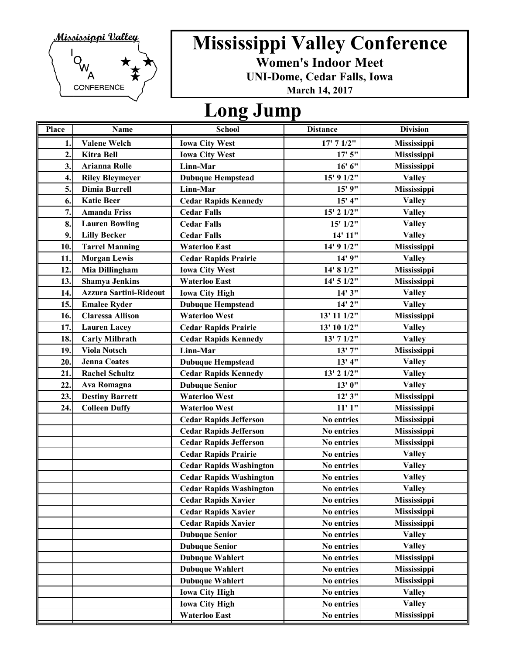

**Women's Indoor Meet**

**UNI-Dome, Cedar Falls, Iowa**

**March 14, 2017**

#### **Long Jump**

| Place            | Name                          | <b>School</b>                  | <b>Distance</b> | <b>Division</b>    |
|------------------|-------------------------------|--------------------------------|-----------------|--------------------|
| 1.               | <b>Valene Welch</b>           | <b>Iowa City West</b>          | 17' 7 1/2"      | <b>Mississippi</b> |
| $\overline{2}$ . | <b>Kitra Bell</b>             | <b>Iowa City West</b>          | 17'5''          | Mississippi        |
| 3.               | <b>Arianna Rolle</b>          | Linn-Mar                       | 16' 6''         | <b>Mississippi</b> |
| 4.               | <b>Riley Bleymeyer</b>        | <b>Dubuque Hempstead</b>       | 15' 9 1/2"      | <b>Valley</b>      |
| 5.               | Dimia Burrell                 | Linn-Mar                       | 15' 9"          | Mississippi        |
| 6.               | <b>Katie Beer</b>             | <b>Cedar Rapids Kennedy</b>    | 15' 4''         | <b>Valley</b>      |
| 7.               | <b>Amanda Friss</b>           | <b>Cedar Falls</b>             | 15' 2 1/2"      | <b>Valley</b>      |
| 8.               | <b>Lauren Bowling</b>         | <b>Cedar Falls</b>             | 15' 1/2"        | <b>Valley</b>      |
| 9.               | <b>Lilly Becker</b>           | <b>Cedar Falls</b>             | 14' 11"         | <b>Valley</b>      |
| 10.              | <b>Tarrel Manning</b>         | <b>Waterloo East</b>           | 14' 9 1/2"      | Mississippi        |
| 11.              | <b>Morgan Lewis</b>           | <b>Cedar Rapids Prairie</b>    | 14' 9"          | <b>Valley</b>      |
| 12.              | Mia Dillingham                | <b>Iowa City West</b>          | 14' 8 1/2"      | Mississippi        |
| 13.              | <b>Shamya Jenkins</b>         | <b>Waterloo East</b>           | 14' 5 1/2"      | Mississippi        |
| 14.              | <b>Azzura Sartini-Rideout</b> | <b>Iowa City High</b>          | 14' 3"          | <b>Valley</b>      |
| 15.              | <b>Emalee Ryder</b>           | <b>Dubuque Hempstead</b>       | 14' 2"          | <b>Valley</b>      |
| 16.              | <b>Claressa Allison</b>       | <b>Waterloo West</b>           | 13' 11 1/2"     | Mississippi        |
| 17.              | <b>Lauren Lacey</b>           | <b>Cedar Rapids Prairie</b>    | 13' 10 1/2"     | <b>Valley</b>      |
| 18.              | <b>Carly Milbrath</b>         | <b>Cedar Rapids Kennedy</b>    | 13' 7 1/2"      | <b>Valley</b>      |
| 19.              | <b>Viola Notsch</b>           | Linn-Mar                       | 13'7''          | Mississippi        |
| 20.              | <b>Jenna Coates</b>           | <b>Dubuque Hempstead</b>       | 13' 4''         | <b>Valley</b>      |
| 21.              | <b>Rachel Schultz</b>         | <b>Cedar Rapids Kennedy</b>    | 13' 2 1/2"      | <b>Valley</b>      |
| 22.              | Ava Romagna                   | <b>Dubuque Senior</b>          | 13' 0"          | <b>Valley</b>      |
| 23.              | <b>Destiny Barrett</b>        | <b>Waterloo West</b>           | 12'3''          | Mississippi        |
| 24.              | <b>Colleen Duffy</b>          | <b>Waterloo West</b>           | 11'1''          | Mississippi        |
|                  |                               | <b>Cedar Rapids Jefferson</b>  | No entries      | Mississippi        |
|                  |                               | <b>Cedar Rapids Jefferson</b>  | No entries      | Mississippi        |
|                  |                               | <b>Cedar Rapids Jefferson</b>  | No entries      | Mississippi        |
|                  |                               | <b>Cedar Rapids Prairie</b>    | No entries      | <b>Valley</b>      |
|                  |                               | <b>Cedar Rapids Washington</b> | No entries      | <b>Valley</b>      |
|                  |                               | <b>Cedar Rapids Washington</b> | No entries      | <b>Valley</b>      |
|                  |                               | <b>Cedar Rapids Washington</b> | No entries      | <b>Valley</b>      |
|                  |                               | <b>Cedar Rapids Xavier</b>     | No entries      | Mississippi        |
|                  |                               | <b>Cedar Rapids Xavier</b>     | No entries      | Mississippi        |
|                  |                               | <b>Cedar Rapids Xavier</b>     | No entries      | Mississippi        |
|                  |                               | <b>Dubuque Senior</b>          | No entries      | <b>Valley</b>      |
|                  |                               | <b>Dubuque Senior</b>          | No entries      | <b>Valley</b>      |
|                  |                               | <b>Dubuque Wahlert</b>         | No entries      | Mississippi        |
|                  |                               | <b>Dubuque Wahlert</b>         | No entries      | Mississippi        |
|                  |                               | <b>Dubuque Wahlert</b>         | No entries      | Mississippi        |
|                  |                               | <b>Iowa City High</b>          | No entries      | <b>Valley</b>      |
|                  |                               | <b>Iowa City High</b>          | No entries      | <b>Valley</b>      |
|                  |                               | Waterloo East                  | No entries      | <b>Mississippi</b> |